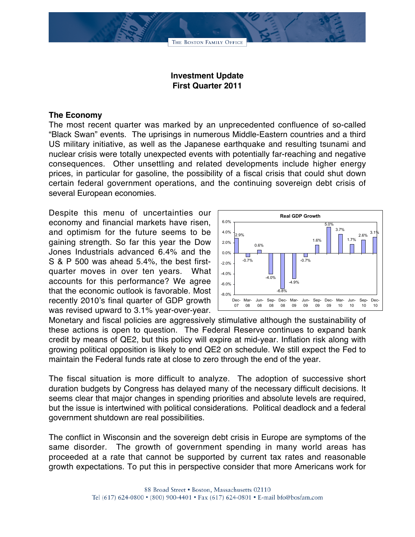

## **Investment Update First Quarter 2011**

## **The Economy**

The most recent quarter was marked by an unprecedented confluence of so-called "Black Swan" events. The uprisings in numerous Middle-Eastern countries and a third US military initiative, as well as the Japanese earthquake and resulting tsunami and nuclear crisis were totally unexpected events with potentially far-reaching and negative consequences. Other unsettling and related developments include higher energy prices, in particular for gasoline, the possibility of a fiscal crisis that could shut down certain federal government operations, and the continuing sovereign debt crisis of several European economies.

Despite this menu of uncertainties our economy and financial markets have risen, and optimism for the future seems to be gaining strength. So far this year the Dow Jones Industrials advanced 6.4% and the S & P 500 was ahead 5.4%, the best firstquarter moves in over ten years. What accounts for this performance? We agree that the economic outlook is favorable. Most recently 2010's final quarter of GDP growth was revised upward to 3.1% year-over-year.



Monetary and fiscal policies are aggressively stimulative although the sustainability of these actions is open to question. The Federal Reserve continues to expand bank credit by means of QE2, but this policy will expire at mid-year. Inflation risk along with growing political opposition is likely to end QE2 on schedule. We still expect the Fed to maintain the Federal funds rate at close to zero through the end of the year.

The fiscal situation is more difficult to analyze. The adoption of successive short duration budgets by Congress has delayed many of the necessary difficult decisions. It seems clear that major changes in spending priorities and absolute levels are required, but the issue is intertwined with political considerations. Political deadlock and a federal government shutdown are real possibilities.

The conflict in Wisconsin and the sovereign debt crisis in Europe are symptoms of the same disorder. The growth of government spending in many world areas has proceeded at a rate that cannot be supported by current tax rates and reasonable growth expectations. To put this in perspective consider that more Americans work for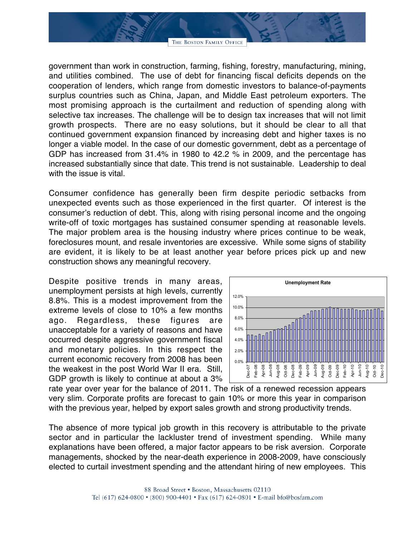THE BOSTON FAMILY OFFICE

government than work in construction, farming, fishing, forestry, manufacturing, mining, and utilities combined. The use of debt for financing fiscal deficits depends on the cooperation of lenders, which range from domestic investors to balance-of-payments surplus countries such as China, Japan, and Middle East petroleum exporters. The most promising approach is the curtailment and reduction of spending along with selective tax increases. The challenge will be to design tax increases that will not limit growth prospects. There are no easy solutions, but it should be clear to all that continued government expansion financed by increasing debt and higher taxes is no longer a viable model. In the case of our domestic government, debt as a percentage of GDP has increased from 31.4% in 1980 to 42.2 % in 2009, and the percentage has increased substantially since that date. This trend is not sustainable. Leadership to deal with the issue is vital.

Consumer confidence has generally been firm despite periodic setbacks from unexpected events such as those experienced in the first quarter. Of interest is the consumer's reduction of debt. This, along with rising personal income and the ongoing write-off of toxic mortgages has sustained consumer spending at reasonable levels. The major problem area is the housing industry where prices continue to be weak, foreclosures mount, and resale inventories are excessive. While some signs of stability are evident, it is likely to be at least another year before prices pick up and new construction shows any meaningful recovery.

Despite positive trends in many areas, unemployment persists at high levels, currently 8.8%. This is a modest improvement from the extreme levels of close to 10% a few months ago. Regardless, these figures are unacceptable for a variety of reasons and have occurred despite aggressive government fiscal and monetary policies. In this respect the current economic recovery from 2008 has been the weakest in the post World War II era. Still, GDP growth is likely to continue at about a 3%



rate year over year for the balance of 2011. The risk of a renewed recession appears very slim. Corporate profits are forecast to gain 10% or more this year in comparison with the previous year, helped by export sales growth and strong productivity trends.

The absence of more typical job growth in this recovery is attributable to the private sector and in particular the lackluster trend of investment spending. While many explanations have been offered, a major factor appears to be risk aversion. Corporate managements, shocked by the near-death experience in 2008-2009, have consciously elected to curtail investment spending and the attendant hiring of new employees. This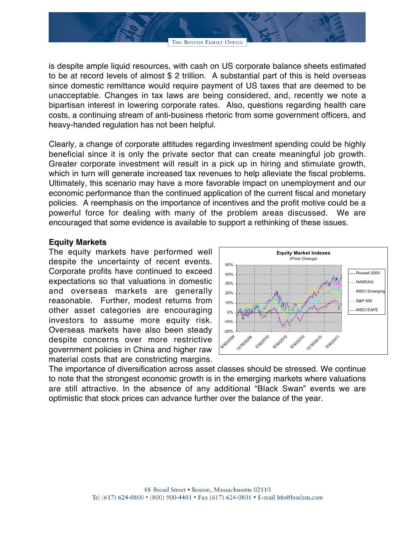is despite ample liquid resources, with cash on US corporate balance sheets estimated to be at record levels of almost \$ 2 trillion. A substantial part of this is held overseas since domestic remittance would require payment of US taxes that are deemed to be unacceptable. Changes in tax laws are being considered, and, recently we note a bipartisan interest in lowering corporate rates. Also, questions regarding health care costs, a continuing stream of anti-business rhetoric from some government officers, and heavy-handed regulation has not been helpful.

Clearly, a change of corporate attitudes regarding investment spending could be highly beneficial since it is only the private sector that can create meaningful job growth. Greater corporate investment will result in a pick up in hiring and stimulate growth, which in turn will generate increased tax revenues to help alleviate the fiscal problems. Ultimately, this scenario may have a more favorable impact on unemployment and our economic performance than the continued application of the current fiscal and monetary policies. A reemphasis on the importance of incentives and the profit motive could be a powerful force for dealing with many of the problem areas discussed. We are encouraged that some evidence is available to support a rethinking of these issues.

## **Equity Markets**

The equity markets have performed well despite the uncertainty of recent events. Corporate profits have continued to exceed expectations so that valuations in domestic and overseas markets are generally reasonable. Further, modest returns from other asset categories are encouraging investors to assume more equity risk. Overseas markets have also been steady despite concerns over more restrictive government policies in China and higher raw material costs that are constricting margins.



The importance of diversification across asset classes should be stressed. We continue to note that the strongest economic growth is in the emerging markets where valuations are still attractive. In the absence of any additional "Black Swan" events we are optimistic that stock prices can advance further over the balance of the year.